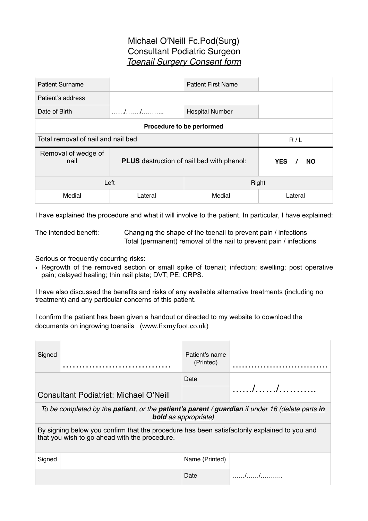## Michael O'Neill Fc.Pod(Surg) Consultant Podiatric Surgeon *Toenail Surgery Consent form*

| <b>Patient Surname</b>                    |                                                  | <b>Patient First Name</b> |                                     |  |  |
|-------------------------------------------|--------------------------------------------------|---------------------------|-------------------------------------|--|--|
| Patient's address                         |                                                  |                           |                                     |  |  |
| Date of Birth                             |                                                  | <b>Hospital Number</b>    |                                     |  |  |
| Procedure to be performed                 |                                                  |                           |                                     |  |  |
| Total removal of nail and nail bed<br>R/L |                                                  |                           |                                     |  |  |
| Removal of wedge of<br>nail               | <b>PLUS</b> destruction of nail bed with phenol: |                           | <b>YES</b><br><b>NO</b><br>$\prime$ |  |  |
| Right<br>Left                             |                                                  |                           |                                     |  |  |
|                                           |                                                  |                           |                                     |  |  |

I have explained the procedure and what it will involve to the patient. In particular, I have explained:

The intended benefit: Changing the shape of the toenail to prevent pain / infections Total (permanent) removal of the nail to prevent pain / infections

Serious or frequently occurring risks:

• Regrowth of the removed section or small spike of toenail; infection; swelling; post operative pain; delayed healing; thin nail plate; DVT; PE; CRPS.

I have also discussed the benefits and risks of any available alternative treatments (including no treatment) and any particular concerns of this patient.

I confirm the patient has been given a handout or directed to my website to download the documents on ingrowing toenails . (www.[fixmyfoot.co.uk](http://fixmyfoot.co.uk))

| Signed                                                                                                                                        |                                        | Patient's name<br>(Printed) |                                                                                                                                                                                                                                                                                                                   |  |
|-----------------------------------------------------------------------------------------------------------------------------------------------|----------------------------------------|-----------------------------|-------------------------------------------------------------------------------------------------------------------------------------------------------------------------------------------------------------------------------------------------------------------------------------------------------------------|--|
|                                                                                                                                               |                                        | Date                        |                                                                                                                                                                                                                                                                                                                   |  |
|                                                                                                                                               | Consultant Podiatrist: Michael O'Neill |                             |                                                                                                                                                                                                                                                                                                                   |  |
| To be completed by the <b>patient</b> , or the <b>patient's parent / guardian</b> if under 16 (delete parts in<br><b>bold</b> as appropriate) |                                        |                             |                                                                                                                                                                                                                                                                                                                   |  |
| By signing below you confirm that the procedure has been satisfactorily explained to you and<br>that you wish to go ahead with the procedure. |                                        |                             |                                                                                                                                                                                                                                                                                                                   |  |
| Signed                                                                                                                                        |                                        | Name (Printed)              |                                                                                                                                                                                                                                                                                                                   |  |
|                                                                                                                                               |                                        | Date                        | $\ldots$ . $\ldots$ . $\ldots$ . $\ldots$ . $\ldots$ . $\ldots$ . $\ldots$ . $\ldots$ . $\ldots$ . $\ldots$ . $\ldots$ . $\ldots$ . $\ldots$ . $\ldots$ . $\ldots$ . $\ldots$ . $\ldots$ . $\ldots$ . $\ldots$ . $\ldots$ . $\ldots$ . $\ldots$ . $\ldots$ . $\ldots$ . $\ldots$ . $\ldots$ . $\ldots$ . $\ldots$ |  |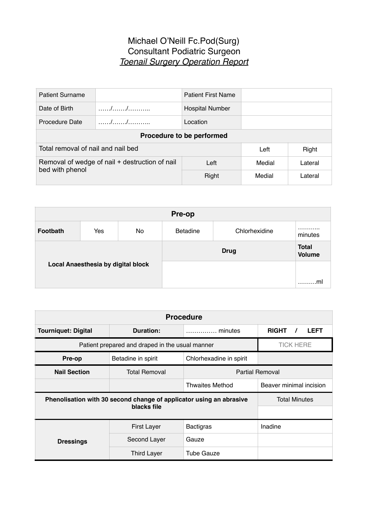## Michael O'Neill Fc.Pod(Surg) Consultant Podiatric Surgeon *Toenail Surgery Operation Report*

| <b>Patient Surname</b>                                            |               | <b>Patient First Name</b> |        |         |  |
|-------------------------------------------------------------------|---------------|---------------------------|--------|---------|--|
| Date of Birth                                                     |               | <b>Hospital Number</b>    |        |         |  |
| <b>Procedure Date</b>                                             | $\frac{1}{2}$ | Location                  |        |         |  |
| Procedure to be performed                                         |               |                           |        |         |  |
| Total removal of nail and nail bed<br>Right<br>Left               |               |                           |        |         |  |
| Removal of wedge of nail + destruction of nail<br>bed with phenol |               | Left                      | Medial | Lateral |  |
|                                                                   |               | Right                     | Medial | Lateral |  |

| Pre-op                             |     |    |                 |                               |              |
|------------------------------------|-----|----|-----------------|-------------------------------|--------------|
| Footbath                           | Yes | No | <b>Betadine</b> | Chlorhexidine                 | .<br>minutes |
| Local Anaesthesia by digital block |     |    | <b>Drug</b>     | <b>Total</b><br><b>Volume</b> |              |
|                                    |     |    |                 |                               |              |
|                                    |     |    |                 | .ml<br>.                      |              |

| <b>Procedure</b>                                                                   |                      |                                                   |                                         |  |
|------------------------------------------------------------------------------------|----------------------|---------------------------------------------------|-----------------------------------------|--|
| <b>Tourniquet: Digital</b>                                                         | Duration:            | minutes                                           | <b>RIGHT</b><br><b>LEFT</b><br>$\prime$ |  |
| Patient prepared and draped in the usual manner                                    | <b>TICK HERE</b>     |                                                   |                                         |  |
| Pre-op                                                                             | Betadine in spirit   | Chlorhexadine in spirit                           |                                         |  |
| <b>Nail Section</b>                                                                | <b>Total Removal</b> | <b>Partial Removal</b>                            |                                         |  |
|                                                                                    |                      | Beaver minimal incision<br><b>Thwaites Method</b> |                                         |  |
| Phenolisation with 30 second change of applicator using an abrasive<br>blacks file |                      |                                                   | <b>Total Minutes</b>                    |  |
|                                                                                    |                      |                                                   |                                         |  |
|                                                                                    | <b>First Layer</b>   | <b>Bactigras</b>                                  | Inadine                                 |  |
| <b>Dressings</b>                                                                   | Second Layer         | Gauze                                             |                                         |  |
|                                                                                    | <b>Third Layer</b>   | <b>Tube Gauze</b>                                 |                                         |  |